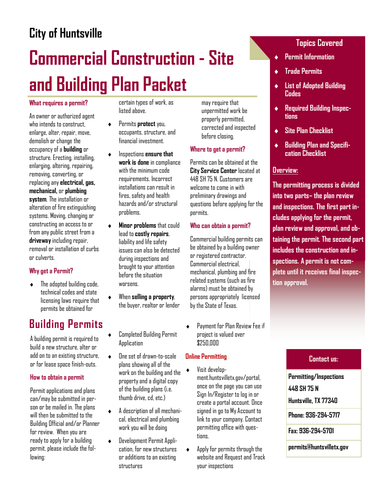## City of Huntsville

# Commercial Construction - Site and Building Plan Packet

### What requires a permit?

An owner or authorized agent who intends to construct. enlarge, alter, repair, move, demolish or change the occupancy of a building or structure. Erecting, installing, enlarging, altering, repairing, removing, converting, or replacing any electrical, gas, mechanical, or plumbing system. The installation or alteration of fire extinguishing systems. Moving, changing or constructing an access to or from any public street from a driveway including repair, removal or installation of curbs or culverts.

### Why get a Permit?

The adopted building code, technical codes and state licensing laws require that permits be obtained for

### Building Permits

A building permit is required to build a new structure, alter or add on to an existing structure, or for lease space finish-outs.

#### How to obtain a permit

Permit applications and plans can/may be submitted in person or be mailed in. The plans will then be submitted to the Building Official and/or Planner for review. When you are ready to apply for a building permit, please include the following:

certain types of work, as listed above.

- ♦ Permits protect you, occupants, structure, and financial investment.
- ♦ Inspections ensure that work is done in compliance with the minimum code requirements. Incorrect installations can result in fires, safety and health hazards and/or structural problems.
- ♦ Minor problems that could lead to costly repairs, liability and life safety issues can also be detected during inspections and brought to your attention before the situation worsens.
- When selling a property, the buyer, realtor or lender
- **Completed Building Permit** Application
- ♦ One set of drawn-to-scale plans showing all of the work on the building and the property and a digital copy of the building plans (i.e. thumh drive, cd, etc.)
- ♦ A description of all mechanical, electrical and plumbing work you will be doing
- ♦ Development Permit Application, for new structures or additions to an existing structures

may require that unpermitted work be properly permitted, corrected and inspected before closing.

#### Where to get a permit?

Permits can be obtained at the City Service Center located at 448 SH 75 N. Customers are welcome to come in with preliminary drawings and questions before applying for the permits.

#### Who can obtain a permit?

Commercial building permits can be obtained by a building owner or registered contractor. Commercial electrical, mechanical, plumbing and fire related systems (such as fire alarms) must be obtained by persons appropriately licensed by the State of Texas.

♦ Payment for Plan Review Fee if project is valued over  $$250,000$ 

### Online Permitting

- Visit development.huntsvilletx.gov/portal, once on the page you can use Sign In/Register to log in or create a portal account. Once signed in go to My Account to link to your company. Contact permitting office with questions.
- $\triangleleft$  Apply for permits through the website and Request and Track your inspections

### Topics Covered

- **Permit Information**
- **Trade Permits**
- **List of Adopted Building** Codes
- ♦ Required Building Inspections
- ♦ Site Plan Checklist
- ♦ Building Plan and Specification Checklist

### Overview:

The permitting process is divided into two parts– the plan review and inspections. The first part includes applying for the permit, plan review and approval, and obtaining the permit. The second part includes the construction and inspections. A permit is not complete until it receives final inspection approval.

### Contact us:

Phone: 936-294-5717 Fax: 936-294-5701 Permitting/Inspections 448 SH 75 N Huntsville, TX 77340

permits@huntsvilletx.gov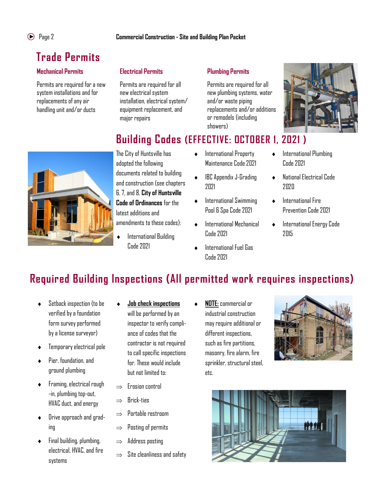## Trade Permits

### Mechanical Permits

Permits are required for a new system installations and for replacements of any air handling unit and/or ducts



Permits are required for all new electrical system installation, electrical system/ equipment replacement, and major repairs

### Plumbing Permits

Permits are required for all new plumbing systems, water and/or waste piping replacements and/or additions or remodels (including showers)



The City of Huntsville has adopted the following documents related to building and construction (see chapters 6, 7, and 8, City of Huntsville Code of Ordinances for the latest additions and amendments to these codes):

International Building Code 2021

- ♦ International Property Maintenance Code 2021
- ♦ IBC Appendix J-Grading 2021
- ♦ International Swimming Pool & Spa Code 2021
- ♦ International Mechanical Code 2021
- International Fuel Gas Code 2021
- ♦ International Plumbing Code 2021
- ♦ National Electrical Code 2020
- ♦ International Fire Prevention Code 2021
- ♦ International Energy Code 2015

### Required Building Inspections (All permitted work requires inspections)

- ♦ Setback inspection (to be verified by a foundation form survey performed by a license surveyor)
- Temporary electrical pole
- ♦ Pier, foundation, and ground plumbing
- ♦ Framing, electrical rough -in, plumbing top-out, HVAC duct, and energy
- Drive approach and grading
- ♦ Final building, plumbing, electrical, HVAC, and fire systems
- **Job check inspections** will be performed by an inspector to verify compliance of codes that the contractor is not required to call specific inspections for. These would include but not limited to:
- $\rightarrow$  Frosion control
- $\Rightarrow$  Brick-ties
- $\Rightarrow$  Portable restroom
- $\Rightarrow$  Posting of permits
- $\Rightarrow$  Address posting
- $\Rightarrow$  Site cleanliness and safety

**NOTE: commercial or** industrial construction may require additional or different inspections, such as fire partitions, masonry, fire alarm, fire sprinkler, structural steel, etc.



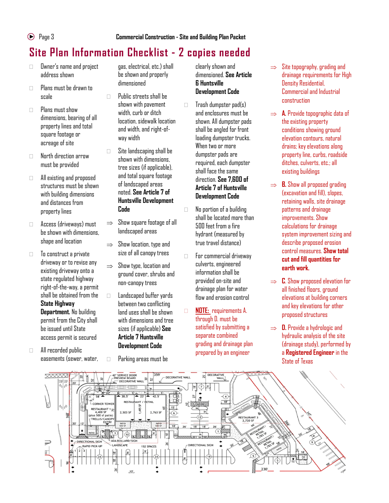### Site Plan Information Checklist - 2 copies needed

- Owner's name and project address shown
- $\Box$  Plans must be drawn to scale
- $\Box$  Plans must show dimensions, bearing of all property lines and total square footage or acreage of site
- North direction arrow must be provided
- All existing and proposed structures must be shown with building dimensions and distances from property lines
- Access (driveways) must be shown with dimensions, shape and location
- $\Box$  To construct a private driveway or to revise any existing driveway onto a state regulated highway right-of-the-way, a permit shall be obtained from the State Highway Department. No building permit from the City shall be issued until State access permit is secured
- All recorded public easements (sewer, water,

gas, electrical, etc.) shall be shown and properly dimensioned

- $\Box$  Public streets shall be shown with pavement width, curb or ditch location, sidewalk location and width, and right-ofway width
- □ Site landscaping shall be shown with dimensions, tree sizes (if applicable), and total square footage of landscaped areas noted. See Article 7 of Huntsville Development Code
- $\Rightarrow$  Show square footage of all landscaped areas
- $\Rightarrow$  Show location, type and size of all canopy trees
- $\Rightarrow$  Show type, location and ground cover, shrubs and non-canopy trees
- □ Landscaped buffer yards between two conflicting land uses shall be shown with dimensions and tree sizes (if applicable) See Article 7 Huntsville Development Code
- Parking areas must be

clearly shown and dimensioned. See Article 6 Huntsville Development Code

 $\Box$  Trash dumpster pad(s) and enclosures must be shown. All dumpster pads shall be angled for front loading dumpster trucks. When two or more dumpster pads are required, each dumpster shall face the same direction. See 7,600 of Article 7 of Huntsville Development Code

- No portion of a building shall be located more than 500 feet from a fire hydrant (measured by true travel distance)
- For commercial driveway culverts, engineered information shall be provided on-site and drainage plan for water flow and erosion control
- **NOTE:** requirements A. through D. must be satisfied by submitting a separate combined grading and drainage plan prepared by an engineer
- $\Rightarrow$  Site topography, grading and drainage requirements for High Density Residential, Commercial and Industrial construction
- $\Rightarrow$  **A.** Provide topographic data of the existing property conditions showing ground elevation contours, natural drains; key elevations along property line, curbs, roadside ditches, culverts, etc.; all existing buildings
- $\Rightarrow$  **B.** Show all proposed grading (excavation and fill), slopes, retaining walls, site drainage patterns and drainage improvements. Show calculations for drainage system improvement sizing and describe proposed erosion control measures. Show total cut and fill quantities for earth work.
- $\Rightarrow$  C. Show proposed elevation for all finished floors, ground elevations at building corners and key elevations for other proposed structures
- $\Rightarrow$  D. Provide a hydrologic and hydraulic analysis of the site (drainage study), performed by a Registered Engineer in the State of Texas